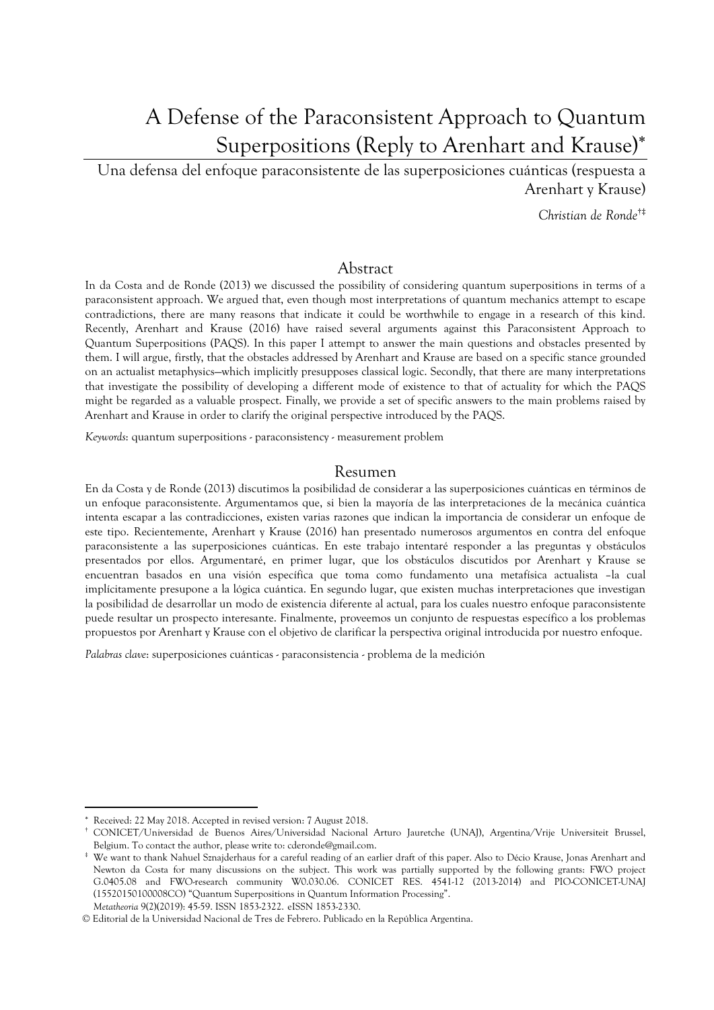# A Defense of the Paraconsistent Approach to Quantum Superpositions (Reply to Arenhart and Krause)

Una defensa del enfoque paraconsistente de las superposiciones cuánticas (respuesta a Arenhart y Krause)

*Christian de Ronde*†‡

### Abstract

In da Costa and de Ronde (2013) we discussed the possibility of considering quantum superpositions in terms of a paraconsistent approach. We argued that, even though most interpretations of quantum mechanics attempt to escape contradictions, there are many reasons that indicate it could be worthwhile to engage in a research of this kind. Recently, Arenhart and Krause (2016) have raised several arguments against this Paraconsistent Approach to Quantum Superpositions (PAQS). In this paper I attempt to answer the main questions and obstacles presented by them. I will argue, firstly, that the obstacles addressed by Arenhart and Krause are based on a specific stance grounded on an actualist metaphysics—which implicitly presupposes classical logic. Secondly, that there are many interpretations that investigate the possibility of developing a different mode of existence to that of actuality for which the PAQS might be regarded as a valuable prospect. Finally, we provide a set of specific answers to the main problems raised by Arenhart and Krause in order to clarify the original perspective introduced by the PAQS.

*Keywords*: quantum superpositions - paraconsistency - measurement problem

#### Resumen

En da Costa y de Ronde (2013) discutimos la posibilidad de considerar a las superposiciones cuánticas en términos de un enfoque paraconsistente. Argumentamos que, si bien la mayoría de las interpretaciones de la mecánica cuántica intenta escapar a las contradicciones, existen varias razones que indican la importancia de considerar un enfoque de este tipo. Recientemente, Arenhart y Krause (2016) han presentado numerosos argumentos en contra del enfoque paraconsistente a las superposiciones cuánticas. En este trabajo intentaré responder a las preguntas y obstáculos presentados por ellos. Argumentaré, en primer lugar, que los obstáculos discutidos por Arenhart y Krause se encuentran basados en una visión específica que toma como fundamento una metafísica actualista –la cual implícitamente presupone a la lógica cuántica. En segundo lugar, que existen muchas interpretaciones que investigan la posibilidad de desarrollar un modo de existencia diferente al actual, para los cuales nuestro enfoque paraconsistente puede resultar un prospecto interesante. Finalmente, proveemos un conjunto de respuestas específico a los problemas propuestos por Arenhart y Krause con el objetivo de clarificar la perspectiva original introducida por nuestro enfoque.

*Palabras clave*: superposiciones cuánticas - paraconsistencia - problema de la medición

Received: 22 May 2018. Accepted in revised version: 7 August 2018.

<sup>†</sup> CONICET/Universidad de Buenos Aires/Universidad Nacional Arturo Jauretche (UNAJ), Argentina/Vrije Universiteit Brussel, Belgium. To contact the author, please write to: cderonde@gmail.com.

*Metatheoria* 9(2)(2019): 45-59. ISSN 1853-2322. eISSN 1853-2330. ‡ We want to thank Nahuel Sznajderhaus for a careful reading of an earlier draft of this paper. Also to Décio Krause, Jonas Arenhart and Newton da Costa for many discussions on the subject. This work was partially supported by the following grants: FWO project G.0405.08 and FWO-research community W0.030.06. CONICET RES. 4541-12 (2013-2014) and PIO-CONICET-UNAJ (15520150100008CO) "Quantum Superpositions in Quantum Information Processing".

<sup>©</sup> Editorial de la Universidad Nacional de Tres de Febrero. Publicado en la República Argentina.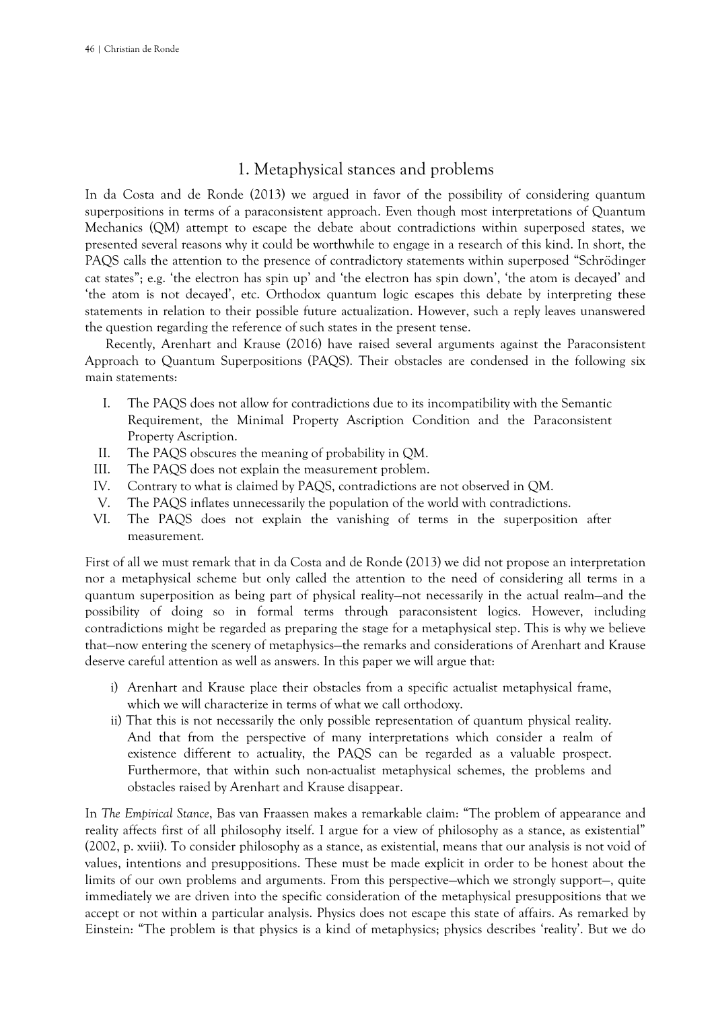# 1. Metaphysical stances and problems

In da Costa and de Ronde (2013) we argued in favor of the possibility of considering quantum superpositions in terms of a paraconsistent approach. Even though most interpretations of Quantum Mechanics (QM) attempt to escape the debate about contradictions within superposed states, we presented several reasons why it could be worthwhile to engage in a research of this kind. In short, the PAQS calls the attention to the presence of contradictory statements within superposed "Schrödinger cat states"; e.g. 'the electron has spin up' and 'the electron has spin down', 'the atom is decayed' and 'the atom is not decayed', etc. Orthodox quantum logic escapes this debate by interpreting these statements in relation to their possible future actualization. However, such a reply leaves unanswered the question regarding the reference of such states in the present tense.

Recently, Arenhart and Krause (2016) have raised several arguments against the Paraconsistent Approach to Quantum Superpositions (PAQS). Their obstacles are condensed in the following six main statements:

- I. The PAQS does not allow for contradictions due to its incompatibility with the Semantic Requirement, the Minimal Property Ascription Condition and the Paraconsistent Property Ascription.
- II. The PAQS obscures the meaning of probability in QM.
- III. The PAQS does not explain the measurement problem.
- IV. Contrary to what is claimed by PAQS, contradictions are not observed in QM.
- V. The PAQS inflates unnecessarily the population of the world with contradictions.
- VI. The PAQS does not explain the vanishing of terms in the superposition after measurement.

First of all we must remark that in da Costa and de Ronde (2013) we did not propose an interpretation nor a metaphysical scheme but only called the attention to the need of considering all terms in a quantum superposition as being part of physical reality—not necessarily in the actual realm—and the possibility of doing so in formal terms through paraconsistent logics. However, including contradictions might be regarded as preparing the stage for a metaphysical step. This is why we believe that—now entering the scenery of metaphysics—the remarks and considerations of Arenhart and Krause deserve careful attention as well as answers. In this paper we will argue that:

- i) Arenhart and Krause place their obstacles from a specific actualist metaphysical frame, which we will characterize in terms of what we call orthodoxy.
- ii) That this is not necessarily the only possible representation of quantum physical reality. And that from the perspective of many interpretations which consider a realm of existence different to actuality, the PAQS can be regarded as a valuable prospect. Furthermore, that within such non-actualist metaphysical schemes, the problems and obstacles raised by Arenhart and Krause disappear.

In *The Empirical Stance*, Bas van Fraassen makes a remarkable claim: "The problem of appearance and reality affects first of all philosophy itself. I argue for a view of philosophy as a stance, as existential" (2002, p. xviii). To consider philosophy as a stance, as existential, means that our analysis is not void of values, intentions and presuppositions. These must be made explicit in order to be honest about the limits of our own problems and arguments. From this perspective—which we strongly support—, quite immediately we are driven into the specific consideration of the metaphysical presuppositions that we accept or not within a particular analysis. Physics does not escape this state of affairs. As remarked by Einstein: "The problem is that physics is a kind of metaphysics; physics describes 'reality'. But we do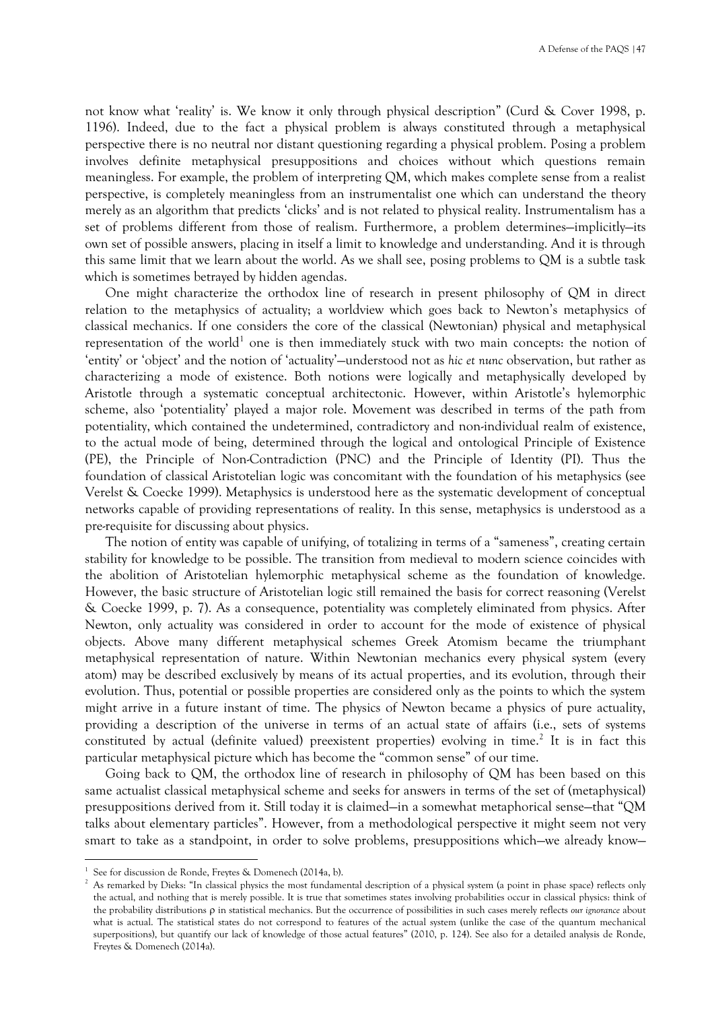not know what 'reality' is. We know it only through physical description" (Curd & Cover 1998, p. 1196). Indeed, due to the fact a physical problem is always constituted through a metaphysical perspective there is no neutral nor distant questioning regarding a physical problem. Posing a problem involves definite metaphysical presuppositions and choices without which questions remain meaningless. For example, the problem of interpreting QM, which makes complete sense from a realist perspective, is completely meaningless from an instrumentalist one which can understand the theory merely as an algorithm that predicts 'clicks' and is not related to physical reality. Instrumentalism has a set of problems different from those of realism. Furthermore, a problem determines—implicitly—its own set of possible answers, placing in itself a limit to knowledge and understanding. And it is through this same limit that we learn about the world. As we shall see, posing problems to QM is a subtle task which is sometimes betrayed by hidden agendas.

One might characterize the orthodox line of research in present philosophy of QM in direct relation to the metaphysics of actuality; a worldview which goes back to Newton's metaphysics of classical mechanics. If one considers the core of the classical (Newtonian) physical and metaphysical representation of the world<sup>1</sup> one is then immediately stuck with two main concepts: the notion of 'entity' or 'object' and the notion of 'actuality'—understood not as *hic et nunc* observation, but rather as characterizing a mode of existence. Both notions were logically and metaphysically developed by Aristotle through a systematic conceptual architectonic. However, within Aristotle's hylemorphic scheme, also 'potentiality' played a major role. Movement was described in terms of the path from potentiality, which contained the undetermined, contradictory and non-individual realm of existence, to the actual mode of being, determined through the logical and ontological Principle of Existence (PE), the Principle of Non-Contradiction (PNC) and the Principle of Identity (PI). Thus the foundation of classical Aristotelian logic was concomitant with the foundation of his metaphysics (see Verelst & Coecke 1999). Metaphysics is understood here as the systematic development of conceptual networks capable of providing representations of reality. In this sense, metaphysics is understood as a pre-requisite for discussing about physics.

The notion of entity was capable of unifying, of totalizing in terms of a "sameness", creating certain stability for knowledge to be possible. The transition from medieval to modern science coincides with the abolition of Aristotelian hylemorphic metaphysical scheme as the foundation of knowledge. However, the basic structure of Aristotelian logic still remained the basis for correct reasoning (Verelst & Coecke 1999, p. 7). As a consequence, potentiality was completely eliminated from physics. After Newton, only actuality was considered in order to account for the mode of existence of physical objects. Above many different metaphysical schemes Greek Atomism became the triumphant metaphysical representation of nature. Within Newtonian mechanics every physical system (every atom) may be described exclusively by means of its actual properties, and its evolution, through their evolution. Thus, potential or possible properties are considered only as the points to which the system might arrive in a future instant of time. The physics of Newton became a physics of pure actuality, providing a description of the universe in terms of an actual state of affairs (i.e., sets of systems constituted by actual (definite valued) preexistent properties) evolving in time.<sup>2</sup> It is in fact this particular metaphysical picture which has become the "common sense" of our time.

Going back to QM, the orthodox line of research in philosophy of QM has been based on this same actualist classical metaphysical scheme and seeks for answers in terms of the set of (metaphysical) presuppositions derived from it. Still today it is claimed—in a somewhat metaphorical sense—that "QM talks about elementary particles". However, from a methodological perspective it might seem not very smart to take as a standpoint, in order to solve problems, presuppositions which—we already know—

<sup>1</sup> See for discussion de Ronde, Freytes & Domenech (2014a, b).

<sup>&</sup>lt;sup>2</sup> As remarked by Dieks: "In classical physics the most fundamental description of a physical system (a point in phase space) reflects only the actual, and nothing that is merely possible. It is true that sometimes states involving probabilities occur in classical physics: think of the probability distributions  $\rho$  in statistical mechanics. But the occurrence of possibilities in such cases merely reflects *our ignorance* about what is actual. The statistical states do not correspond to features of the actual system (unlike the case of the quantum mechanical superpositions), but quantify our lack of knowledge of those actual features" (2010, p. 124). See also for a detailed analysis de Ronde, Freytes & Domenech (2014a).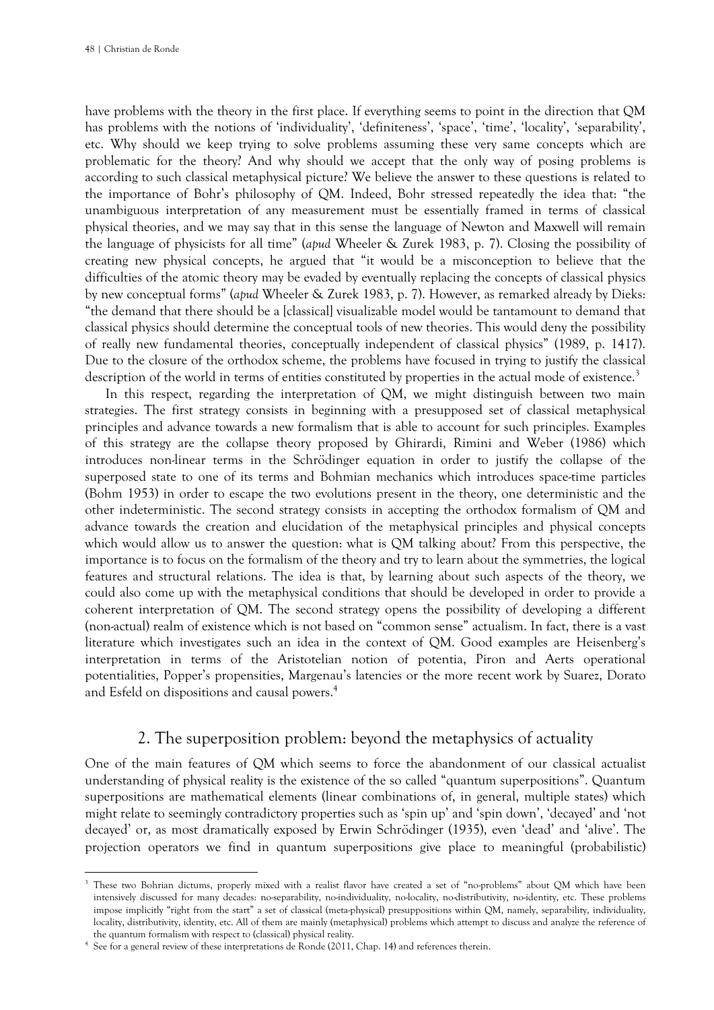have problems with the theory in the first place. If everything seems to point in the direction that QM has problems with the notions of 'individuality', 'definiteness', 'space', 'time', 'locality', 'separability', etc. Why should we keep trying to solve problems assuming these very same concepts which are problematic for the theory? And why should we accept that the only way of posing problems is according to such classical metaphysical picture? We believe the answer to these questions is related to the importance of Bohr's philosophy of QM. Indeed, Bohr stressed repeatedly the idea that: "the unambiguous interpretation of any measurement must be essentially framed in terms of classical physical theories, and we may say that in this sense the language of Newton and Maxwell will remain the language of physicists for all time" (*apud* Wheeler & Zurek 1983, p. 7). Closing the possibility of creating new physical concepts, he argued that "it would be a misconception to believe that the difficulties of the atomic theory may be evaded by eventually replacing the concepts of classical physics by new conceptual forms" (*apud* Wheeler & Zurek 1983, p. 7). However, as remarked already by Dieks: "the demand that there should be a [classical] visualizable model would be tantamount to demand that classical physics should determine the conceptual tools of new theories. This would deny the possibility of really new fundamental theories, conceptually independent of classical physics" (1989, p. 1417). Due to the closure of the orthodox scheme, the problems have focused in trying to justify the classical description of the world in terms of entities constituted by properties in the actual mode of existence.<sup>3</sup>

In this respect, regarding the interpretation of QM, we might distinguish between two main strategies. The first strategy consists in beginning with a presupposed set of classical metaphysical principles and advance towards a new formalism that is able to account for such principles. Examples of this strategy are the collapse theory proposed by Ghirardi, Rimini and Weber (1986) which introduces non-linear terms in the Schrödinger equation in order to justify the collapse of the superposed state to one of its terms and Bohmian mechanics which introduces space-time particles (Bohm 1953) in order to escape the two evolutions present in the theory, one deterministic and the other indeterministic. The second strategy consists in accepting the orthodox formalism of QM and advance towards the creation and elucidation of the metaphysical principles and physical concepts which would allow us to answer the question: what is QM talking about? From this perspective, the importance is to focus on the formalism of the theory and try to learn about the symmetries, the logical features and structural relations. The idea is that, by learning about such aspects of the theory, we could also come up with the metaphysical conditions that should be developed in order to provide a coherent interpretation of QM. The second strategy opens the possibility of developing a different (non-actual) realm of existence which is not based on "common sense" actualism. In fact, there is a vast literature which investigates such an idea in the context of QM. Good examples are Heisenberg's interpretation in terms of the Aristotelian notion of potentia, Piron and Aerts operational potentialities, Popper's propensities, Margenau's latencies or the more recent work by Suarez, Dorato and Esfeld on dispositions and causal powers.<sup>4</sup>

# 2. The superposition problem: beyond the metaphysics of actuality

One of the main features of QM which seems to force the abandonment of our classical actualist understanding of physical reality is the existence of the so called "quantum superpositions". Quantum superpositions are mathematical elements (linear combinations of, in general, multiple states) which might relate to seemingly contradictory properties such as 'spin up' and 'spin down', 'decayed' and 'not decayed' or, as most dramatically exposed by Erwin Schrödinger (1935), even 'dead' and 'alive'. The projection operators we find in quantum superpositions give place to meaningful (probabilistic)

<sup>&</sup>lt;sup>3</sup> These two Bohrian dictums, properly mixed with a realist flavor have created a set of "no-problems" about QM which have been intensively discussed for many decades: no-separability, no-individuality, no-locality, no-distributivity, no-identity, etc. These problems impose implicitly "right from the start" a set of classical (meta-physical) presuppositions within QM, namely, separability, individuality, locality, distributivity, identity, etc. All of them are mainly (metaphysical) problems which attempt to discuss and analyze the reference of the quantum formalism with respect to (classical) physical reality.

<sup>4</sup> See for a general review of these interpretations de Ronde (2011, Chap. 14) and references therein.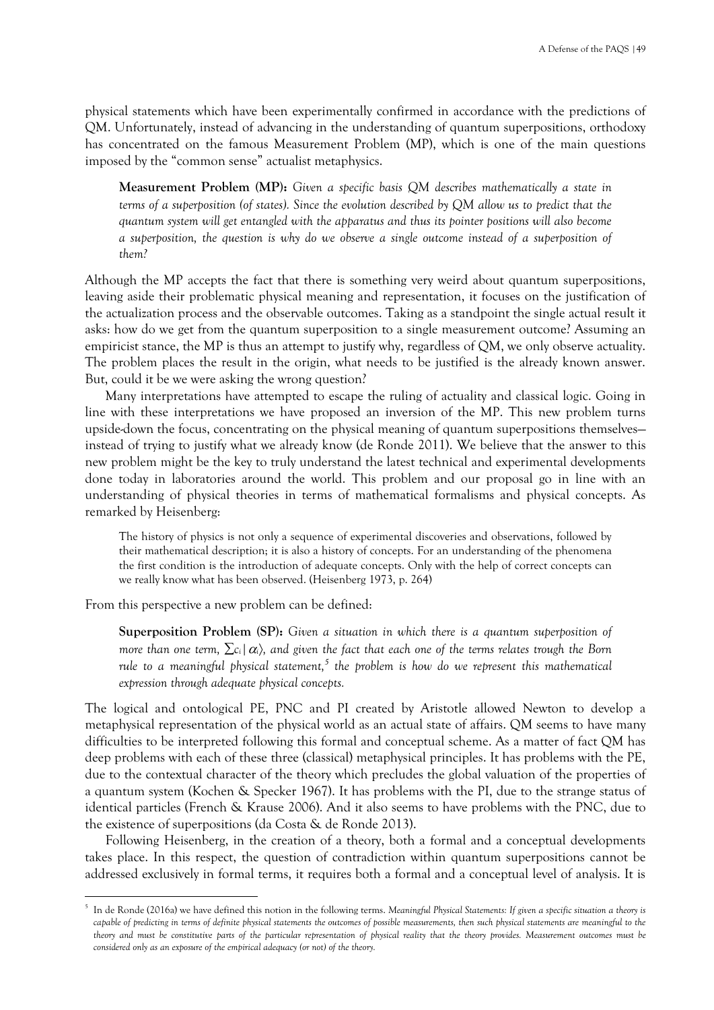physical statements which have been experimentally confirmed in accordance with the predictions of QM. Unfortunately, instead of advancing in the understanding of quantum superpositions, orthodoxy has concentrated on the famous Measurement Problem (MP), which is one of the main questions imposed by the "common sense" actualist metaphysics.

**Measurement Problem (MP):** *Given a specific basis QM describes mathematically a state in terms of a superposition (of states). Since the evolution described by QM allow us to predict that the quantum system will get entangled with the apparatus and thus its pointer positions will also become a superposition, the question is why do we observe a single outcome instead of a superposition of them?*

Although the MP accepts the fact that there is something very weird about quantum superpositions, leaving aside their problematic physical meaning and representation, it focuses on the justification of the actualization process and the observable outcomes. Taking as a standpoint the single actual result it asks: how do we get from the quantum superposition to a single measurement outcome? Assuming an empiricist stance, the MP is thus an attempt to justify why, regardless of QM, we only observe actuality. The problem places the result in the origin, what needs to be justified is the already known answer. But, could it be we were asking the wrong question?

Many interpretations have attempted to escape the ruling of actuality and classical logic. Going in line with these interpretations we have proposed an inversion of the MP. This new problem turns upside-down the focus, concentrating on the physical meaning of quantum superpositions themselves instead of trying to justify what we already know (de Ronde 2011). We believe that the answer to this new problem might be the key to truly understand the latest technical and experimental developments done today in laboratories around the world. This problem and our proposal go in line with an understanding of physical theories in terms of mathematical formalisms and physical concepts. As remarked by Heisenberg:

The history of physics is not only a sequence of experimental discoveries and observations, followed by their mathematical description; it is also a history of concepts. For an understanding of the phenomena the first condition is the introduction of adequate concepts. Only with the help of correct concepts can we really know what has been observed. (Heisenberg 1973, p. 264)

From this perspective a new problem can be defined:

**Superposition Problem (SP):** *Given a situation in which there is a quantum superposition of more than one term,*  $\sum c_i | \alpha_i \rangle$ , and given the fact that each one of the terms relates trough the Born *rule to a meaningful physical statement,<sup>5</sup> the problem is how do we represent this mathematical expression through adequate physical concepts.*

The logical and ontological PE, PNC and PI created by Aristotle allowed Newton to develop a metaphysical representation of the physical world as an actual state of affairs. QM seems to have many difficulties to be interpreted following this formal and conceptual scheme. As a matter of fact QM has deep problems with each of these three (classical) metaphysical principles. It has problems with the PE, due to the contextual character of the theory which precludes the global valuation of the properties of a quantum system (Kochen & Specker 1967). It has problems with the PI, due to the strange status of identical particles (French & Krause 2006). And it also seems to have problems with the PNC, due to the existence of superpositions (da Costa & de Ronde 2013).

Following Heisenberg, in the creation of a theory, both a formal and a conceptual developments takes place. In this respect, the question of contradiction within quantum superpositions cannot be addressed exclusively in formal terms, it requires both a formal and a conceptual level of analysis. It is

<sup>5</sup> In de Ronde (2016a) we have defined this notion in the following terms. *Meaningful Physical Statements: If given a specific situation a theory is*  capable of predicting in terms of definite physical statements the outcomes of possible measurements, then such physical statements are meaningful to the *theory and must be constitutive parts of the particular representation of physical reality that the theory provides. Measurement outcomes must be considered only as an exposure of the empirical adequacy (or not) of the theory.*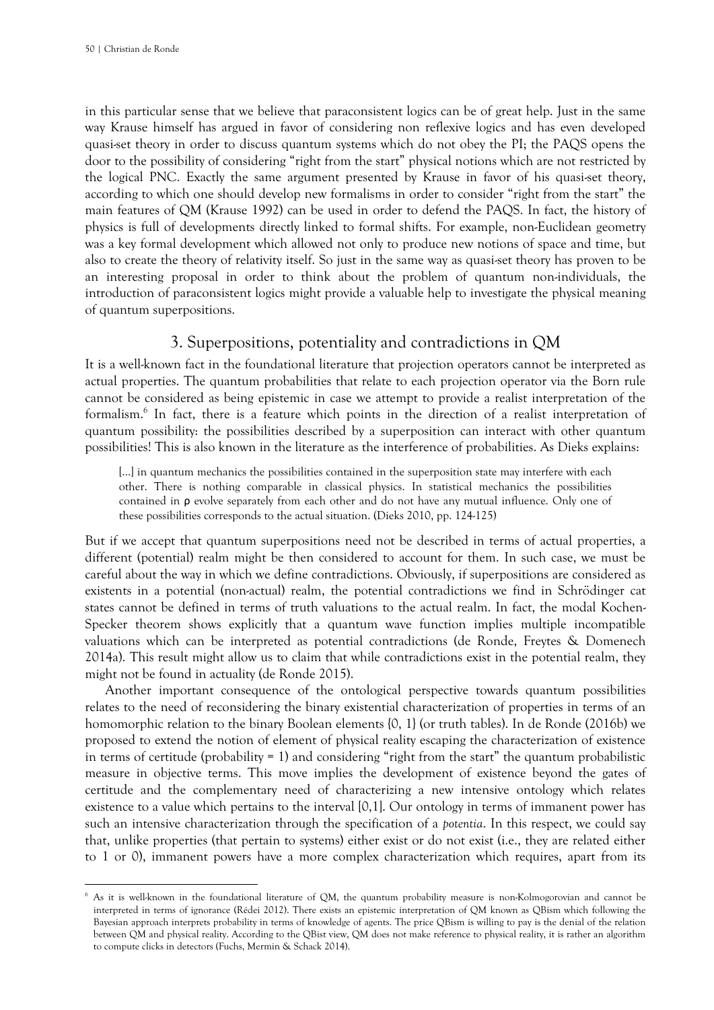in this particular sense that we believe that paraconsistent logics can be of great help. Just in the same way Krause himself has argued in favor of considering non reflexive logics and has even developed quasi-set theory in order to discuss quantum systems which do not obey the PI; the PAQS opens the door to the possibility of considering "right from the start" physical notions which are not restricted by the logical PNC. Exactly the same argument presented by Krause in favor of his quasi-set theory, according to which one should develop new formalisms in order to consider "right from the start" the main features of QM (Krause 1992) can be used in order to defend the PAQS. In fact, the history of physics is full of developments directly linked to formal shifts. For example, non-Euclidean geometry was a key formal development which allowed not only to produce new notions of space and time, but also to create the theory of relativity itself. So just in the same way as quasi-set theory has proven to be an interesting proposal in order to think about the problem of quantum non-individuals, the introduction of paraconsistent logics might provide a valuable help to investigate the physical meaning of quantum superpositions.

# 3. Superpositions, potentiality and contradictions in QM

It is a well-known fact in the foundational literature that projection operators cannot be interpreted as actual properties. The quantum probabilities that relate to each projection operator via the Born rule cannot be considered as being epistemic in case we attempt to provide a realist interpretation of the formalism.<sup>6</sup> In fact, there is a feature which points in the direction of a realist interpretation of quantum possibility: the possibilities described by a superposition can interact with other quantum possibilities! This is also known in the literature as the interference of probabilities. As Dieks explains:

[...] in quantum mechanics the possibilities contained in the superposition state may interfere with each other. There is nothing comparable in classical physics. In statistical mechanics the possibilities contained in ρ evolve separately from each other and do not have any mutual influence. Only one of these possibilities corresponds to the actual situation. (Dieks 2010, pp. 124-125)

But if we accept that quantum superpositions need not be described in terms of actual properties, a different (potential) realm might be then considered to account for them. In such case, we must be careful about the way in which we define contradictions. Obviously, if superpositions are considered as existents in a potential (non-actual) realm, the potential contradictions we find in Schrödinger cat states cannot be defined in terms of truth valuations to the actual realm. In fact, the modal Kochen-Specker theorem shows explicitly that a quantum wave function implies multiple incompatible valuations which can be interpreted as potential contradictions (de Ronde, Freytes & Domenech 2014a). This result might allow us to claim that while contradictions exist in the potential realm, they might not be found in actuality (de Ronde 2015).

Another important consequence of the ontological perspective towards quantum possibilities relates to the need of reconsidering the binary existential characterization of properties in terms of an homomorphic relation to the binary Boolean elements {0, 1} (or truth tables). In de Ronde (2016b) we proposed to extend the notion of element of physical reality escaping the characterization of existence in terms of certitude (probability = 1) and considering "right from the start" the quantum probabilistic measure in objective terms. This move implies the development of existence beyond the gates of certitude and the complementary need of characterizing a new intensive ontology which relates existence to a value which pertains to the interval [0,1]. Our ontology in terms of immanent power has such an intensive characterization through the specification of a *potentia*. In this respect, we could say that, unlike properties (that pertain to systems) either exist or do not exist (i.e., they are related either to 1 or 0), immanent powers have a more complex characterization which requires, apart from its

<sup>&</sup>lt;sup>6</sup> As it is well-known in the foundational literature of QM, the quantum probability measure is non-Kolmogorovian and cannot be interpreted in terms of ignorance (Rédei 2012). There exists an epistemic interpretation of QM known as QBism which following the Bayesian approach interprets probability in terms of knowledge of agents. The price QBism is willing to pay is the denial of the relation between QM and physical reality. According to the QBist view, QM does not make reference to physical reality, it is rather an algorithm to compute clicks in detectors (Fuchs, Mermin & Schack 2014).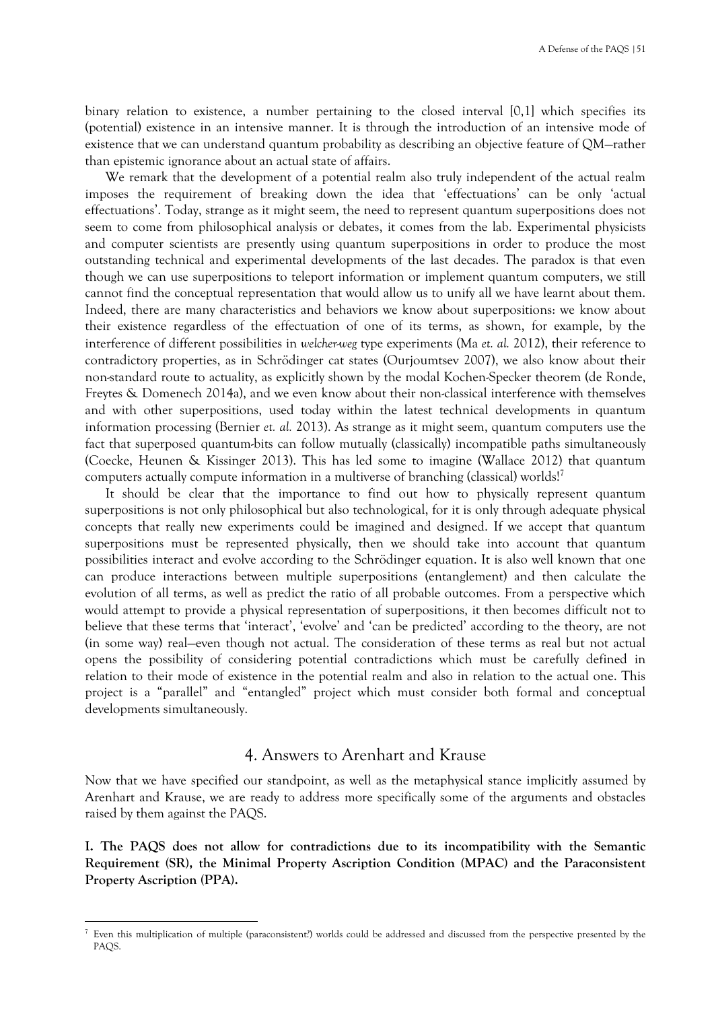binary relation to existence, a number pertaining to the closed interval [0,1] which specifies its (potential) existence in an intensive manner. It is through the introduction of an intensive mode of existence that we can understand quantum probability as describing an objective feature of QM—rather than epistemic ignorance about an actual state of affairs.

We remark that the development of a potential realm also truly independent of the actual realm imposes the requirement of breaking down the idea that 'effectuations' can be only 'actual effectuations'. Today, strange as it might seem, the need to represent quantum superpositions does not seem to come from philosophical analysis or debates, it comes from the lab. Experimental physicists and computer scientists are presently using quantum superpositions in order to produce the most outstanding technical and experimental developments of the last decades. The paradox is that even though we can use superpositions to teleport information or implement quantum computers, we still cannot find the conceptual representation that would allow us to unify all we have learnt about them. Indeed, there are many characteristics and behaviors we know about superpositions: we know about their existence regardless of the effectuation of one of its terms, as shown, for example, by the interference of different possibilities in *welcher-weg* type experiments (Ma *et. al.* 2012), their reference to contradictory properties, as in Schrödinger cat states (Ourjoumtsev 2007), we also know about their non-standard route to actuality, as explicitly shown by the modal Kochen-Specker theorem (de Ronde, Freytes & Domenech 2014a), and we even know about their non-classical interference with themselves and with other superpositions, used today within the latest technical developments in quantum information processing (Bernier *et. al.* 2013). As strange as it might seem, quantum computers use the fact that superposed quantum-bits can follow mutually (classically) incompatible paths simultaneously (Coecke, Heunen & Kissinger 2013). This has led some to imagine (Wallace 2012) that quantum computers actually compute information in a multiverse of branching (classical) worlds!

It should be clear that the importance to find out how to physically represent quantum superpositions is not only philosophical but also technological, for it is only through adequate physical concepts that really new experiments could be imagined and designed. If we accept that quantum superpositions must be represented physically, then we should take into account that quantum possibilities interact and evolve according to the Schrödinger equation. It is also well known that one can produce interactions between multiple superpositions (entanglement) and then calculate the evolution of all terms, as well as predict the ratio of all probable outcomes. From a perspective which would attempt to provide a physical representation of superpositions, it then becomes difficult not to believe that these terms that 'interact', 'evolve' and 'can be predicted' according to the theory, are not (in some way) real—even though not actual. The consideration of these terms as real but not actual opens the possibility of considering potential contradictions which must be carefully defined in relation to their mode of existence in the potential realm and also in relation to the actual one. This project is a "parallel" and "entangled" project which must consider both formal and conceptual developments simultaneously.

# 4. Answers to Arenhart and Krause

Now that we have specified our standpoint, as well as the metaphysical stance implicitly assumed by Arenhart and Krause, we are ready to address more specifically some of the arguments and obstacles raised by them against the PAQS.

**I. The PAQS does not allow for contradictions due to its incompatibility with the Semantic Requirement (SR), the Minimal Property Ascription Condition (MPAC) and the Paraconsistent Property Ascription (PPA).**

<sup>&</sup>lt;sup>7</sup> Even this multiplication of multiple (paraconsistent?) worlds could be addressed and discussed from the perspective presented by the PAQS.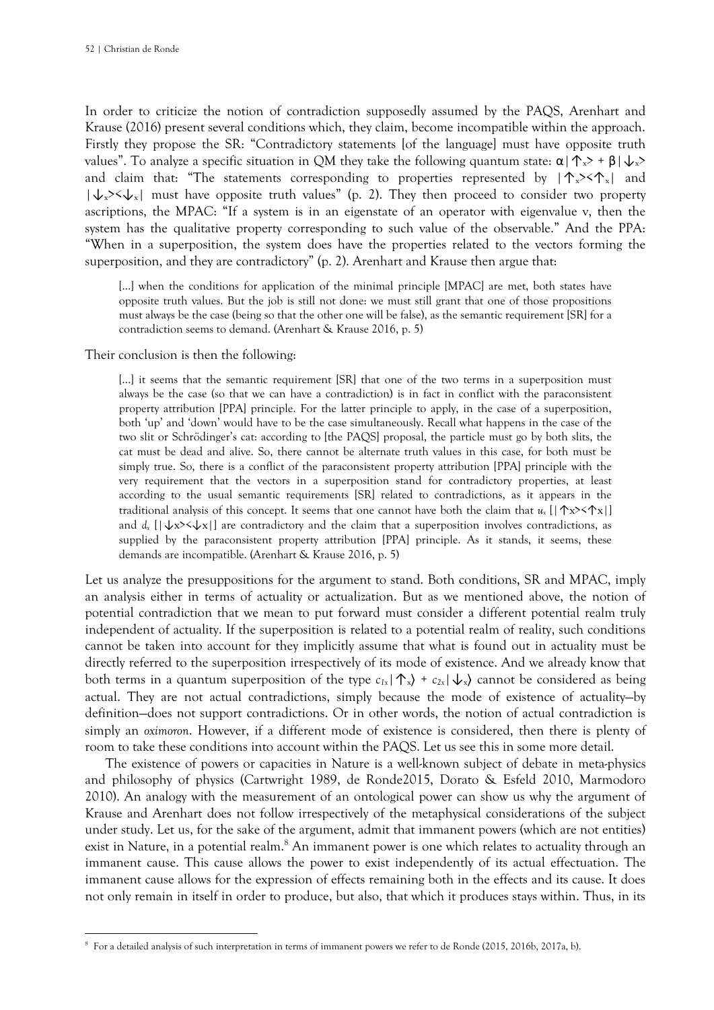In order to criticize the notion of contradiction supposedly assumed by the PAQS, Arenhart and Krause (2016) present several conditions which, they claim, become incompatible within the approach. Firstly they propose the SR: "Contradictory statements [of the language] must have opposite truth values". To analyze a specific situation in QM they take the following quantum state:  $\alpha | \uparrow_x > + \beta | \downarrow_x >$ and claim that: "The statements corresponding to properties represented by  $|\uparrow_x \rangle \langle \uparrow_x |$  and  $|\downarrow_x>\downarrow_x|$  must have opposite truth values" (p. 2). They then proceed to consider two property ascriptions, the MPAC: "If a system is in an eigenstate of an operator with eigenvalue v, then the system has the qualitative property corresponding to such value of the observable." And the PPA: "When in a superposition, the system does have the properties related to the vectors forming the superposition, and they are contradictory" (p. 2). Arenhart and Krause then argue that:

[...] when the conditions for application of the minimal principle [MPAC] are met, both states have opposite truth values. But the job is still not done: we must still grant that one of those propositions must always be the case (being so that the other one will be false), as the semantic requirement [SR] for a contradiction seems to demand. (Arenhart & Krause 2016, p. 5)

Their conclusion is then the following:

[...] it seems that the semantic requirement [SR] that one of the two terms in a superposition must always be the case (so that we can have a contradiction) is in fact in conflict with the paraconsistent property attribution [PPA] principle. For the latter principle to apply, in the case of a superposition, both 'up' and 'down' would have to be the case simultaneously. Recall what happens in the case of the two slit or Schrödinger's cat: according to [the PAQS] proposal, the particle must go by both slits, the cat must be dead and alive. So, there cannot be alternate truth values in this case, for both must be simply true. So, there is a conflict of the paraconsistent property attribution [PPA] principle with the very requirement that the vectors in a superposition stand for contradictory properties, at least according to the usual semantic requirements [SR] related to contradictions, as it appears in the traditional analysis of this concept. It seems that one cannot have both the claim that  $u_x$  [ $\left[\uparrow x\rightarrow \uparrow x\right]$ ] and  $d_x$  [ $\downarrow x$ > $\lt\downarrow x$ ] are contradictory and the claim that a superposition involves contradictions, as supplied by the paraconsistent property attribution [PPA] principle. As it stands, it seems, these demands are incompatible. (Arenhart & Krause 2016, p. 5)

Let us analyze the presuppositions for the argument to stand. Both conditions, SR and MPAC, imply an analysis either in terms of actuality or actualization. But as we mentioned above, the notion of potential contradiction that we mean to put forward must consider a different potential realm truly independent of actuality. If the superposition is related to a potential realm of reality, such conditions cannot be taken into account for they implicitly assume that what is found out in actuality must be directly referred to the superposition irrespectively of its mode of existence. And we already know that both terms in a quantum superposition of the type  $c_{1x}|\uparrow x$ , +  $c_{2x}|\downarrow x$  cannot be considered as being actual. They are not actual contradictions, simply because the mode of existence of actuality—by definition—does not support contradictions. Or in other words, the notion of actual contradiction is simply an *oximoron*. However, if a different mode of existence is considered, then there is plenty of room to take these conditions into account within the PAQS. Let us see this in some more detail.

The existence of powers or capacities in Nature is a well-known subject of debate in meta-physics and philosophy of physics (Cartwright 1989, de Ronde2015, Dorato & Esfeld 2010, Marmodoro 2010). An analogy with the measurement of an ontological power can show us why the argument of Krause and Arenhart does not follow irrespectively of the metaphysical considerations of the subject under study. Let us, for the sake of the argument, admit that immanent powers (which are not entities) exist in Nature, in a potential realm.<sup>8</sup> An immanent power is one which relates to actuality through an immanent cause. This cause allows the power to exist independently of its actual effectuation. The immanent cause allows for the expression of effects remaining both in the effects and its cause. It does not only remain in itself in order to produce, but also, that which it produces stays within. Thus, in its

<sup>8</sup> For a detailed analysis of such interpretation in terms of immanent powers we refer to de Ronde (2015, 2016b, 2017a, b).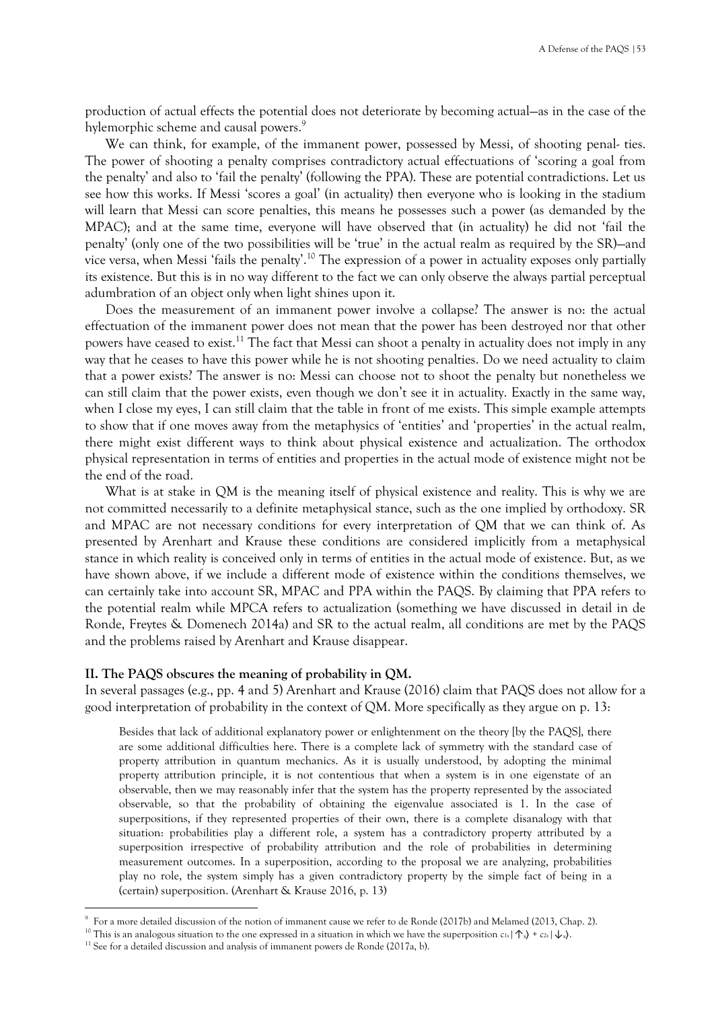production of actual effects the potential does not deteriorate by becoming actual—as in the case of the hylemorphic scheme and causal powers.<sup>9</sup>

We can think, for example, of the immanent power, possessed by Messi, of shooting penal- ties. The power of shooting a penalty comprises contradictory actual effectuations of 'scoring a goal from the penalty' and also to 'fail the penalty' (following the PPA). These are potential contradictions. Let us see how this works. If Messi 'scores a goal' (in actuality) then everyone who is looking in the stadium will learn that Messi can score penalties, this means he possesses such a power (as demanded by the MPAC); and at the same time, everyone will have observed that (in actuality) he did not 'fail the penalty' (only one of the two possibilities will be 'true' in the actual realm as required by the SR)—and vice versa, when Messi 'fails the penalty'.<sup>10</sup> The expression of a power in actuality exposes only partially its existence. But this is in no way different to the fact we can only observe the always partial perceptual adumbration of an object only when light shines upon it.

Does the measurement of an immanent power involve a collapse? The answer is no: the actual effectuation of the immanent power does not mean that the power has been destroyed nor that other powers have ceased to exist.<sup>11</sup> The fact that Messi can shoot a penalty in actuality does not imply in any way that he ceases to have this power while he is not shooting penalties. Do we need actuality to claim that a power exists? The answer is no: Messi can choose not to shoot the penalty but nonetheless we can still claim that the power exists, even though we don't see it in actuality. Exactly in the same way, when I close my eyes, I can still claim that the table in front of me exists. This simple example attempts to show that if one moves away from the metaphysics of 'entities' and 'properties' in the actual realm, there might exist different ways to think about physical existence and actualization. The orthodox physical representation in terms of entities and properties in the actual mode of existence might not be the end of the road.

What is at stake in QM is the meaning itself of physical existence and reality. This is why we are not committed necessarily to a definite metaphysical stance, such as the one implied by orthodoxy. SR and MPAC are not necessary conditions for every interpretation of QM that we can think of. As presented by Arenhart and Krause these conditions are considered implicitly from a metaphysical stance in which reality is conceived only in terms of entities in the actual mode of existence. But, as we have shown above, if we include a different mode of existence within the conditions themselves, we can certainly take into account SR, MPAC and PPA within the PAQS. By claiming that PPA refers to the potential realm while MPCA refers to actualization (something we have discussed in detail in de Ronde, Freytes & Domenech 2014a) and SR to the actual realm, all conditions are met by the PAQS and the problems raised by Arenhart and Krause disappear.

#### **II. The PAQS obscures the meaning of probability in QM.**

In several passages (e.g., pp. 4 and 5) Arenhart and Krause (2016) claim that PAQS does not allow for a good interpretation of probability in the context of QM. More specifically as they argue on p. 13:

Besides that lack of additional explanatory power or enlightenment on the theory [by the PAQS], there are some additional difficulties here. There is a complete lack of symmetry with the standard case of property attribution in quantum mechanics. As it is usually understood, by adopting the minimal property attribution principle, it is not contentious that when a system is in one eigenstate of an observable, then we may reasonably infer that the system has the property represented by the associated observable, so that the probability of obtaining the eigenvalue associated is 1. In the case of superpositions, if they represented properties of their own, there is a complete disanalogy with that situation: probabilities play a different role, a system has a contradictory property attributed by a superposition irrespective of probability attribution and the role of probabilities in determining measurement outcomes. In a superposition, according to the proposal we are analyzing, probabilities play no role, the system simply has a given contradictory property by the simple fact of being in a (certain) superposition. (Arenhart & Krause 2016, p. 13)

<sup>9</sup> For a more detailed discussion of the notion of immanent cause we refer to de Ronde (2017b) and Melamed (2013, Chap. 2).

<sup>&</sup>lt;sup>10</sup> This is an analogous situation to the one expressed in a situation in which we have the superposition  $c_{1x} | \uparrow_x \rangle + c_{2x} | \downarrow_x \rangle$ .

<sup>&</sup>lt;sup>11</sup> See for a detailed discussion and analysis of immanent powers de Ronde (2017a, b).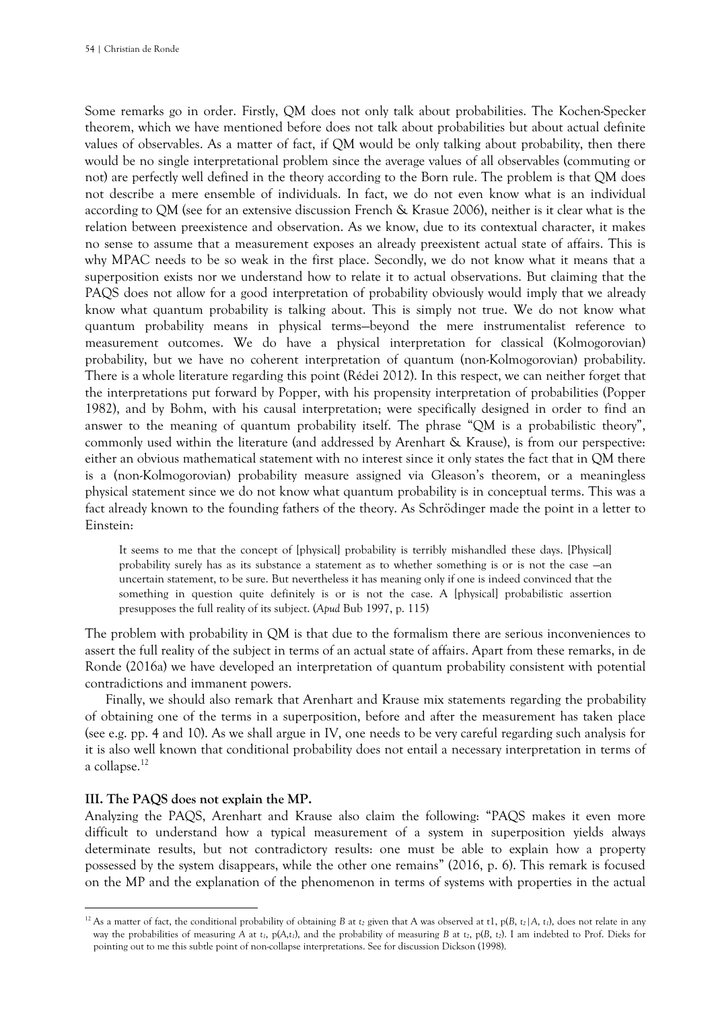Some remarks go in order. Firstly, QM does not only talk about probabilities. The Kochen-Specker theorem, which we have mentioned before does not talk about probabilities but about actual definite values of observables. As a matter of fact, if QM would be only talking about probability, then there would be no single interpretational problem since the average values of all observables (commuting or not) are perfectly well defined in the theory according to the Born rule. The problem is that QM does not describe a mere ensemble of individuals. In fact, we do not even know what is an individual according to QM (see for an extensive discussion French & Krasue 2006), neither is it clear what is the relation between preexistence and observation. As we know, due to its contextual character, it makes no sense to assume that a measurement exposes an already preexistent actual state of affairs. This is why MPAC needs to be so weak in the first place. Secondly, we do not know what it means that a superposition exists nor we understand how to relate it to actual observations. But claiming that the PAQS does not allow for a good interpretation of probability obviously would imply that we already know what quantum probability is talking about. This is simply not true. We do not know what quantum probability means in physical terms—beyond the mere instrumentalist reference to measurement outcomes. We do have a physical interpretation for classical (Kolmogorovian) probability, but we have no coherent interpretation of quantum (non-Kolmogorovian) probability. There is a whole literature regarding this point (Rédei 2012). In this respect, we can neither forget that the interpretations put forward by Popper, with his propensity interpretation of probabilities (Popper 1982), and by Bohm, with his causal interpretation; were specifically designed in order to find an answer to the meaning of quantum probability itself. The phrase "QM is a probabilistic theory", commonly used within the literature (and addressed by Arenhart & Krause), is from our perspective: either an obvious mathematical statement with no interest since it only states the fact that in QM there is a (non-Kolmogorovian) probability measure assigned via Gleason's theorem, or a meaningless physical statement since we do not know what quantum probability is in conceptual terms. This was a fact already known to the founding fathers of the theory. As Schrödinger made the point in a letter to Einstein:

It seems to me that the concept of [physical] probability is terribly mishandled these days. [Physical] probability surely has as its substance a statement as to whether something is or is not the case —an uncertain statement, to be sure. But nevertheless it has meaning only if one is indeed convinced that the something in question quite definitely is or is not the case. A [physical] probabilistic assertion presupposes the full reality of its subject. (*Apud* Bub 1997, p. 115)

The problem with probability in QM is that due to the formalism there are serious inconveniences to assert the full reality of the subject in terms of an actual state of affairs. Apart from these remarks, in de Ronde (2016a) we have developed an interpretation of quantum probability consistent with potential contradictions and immanent powers.

Finally, we should also remark that Arenhart and Krause mix statements regarding the probability of obtaining one of the terms in a superposition, before and after the measurement has taken place (see e.g. pp. 4 and 10). As we shall argue in IV, one needs to be very careful regarding such analysis for it is also well known that conditional probability does not entail a necessary interpretation in terms of a collapse.<sup>12</sup>

#### **III. The PAQS does not explain the MP.**

Analyzing the PAQS, Arenhart and Krause also claim the following: "PAQS makes it even more difficult to understand how a typical measurement of a system in superposition yields always determinate results, but not contradictory results: one must be able to explain how a property possessed by the system disappears, while the other one remains" (2016, p. 6). This remark is focused on the MP and the explanation of the phenomenon in terms of systems with properties in the actual

<sup>&</sup>lt;sup>12</sup> As a matter of fact, the conditional probability of obtaining *B* at *t*<sub>2</sub> given that A was observed at t1,  $p(B, t_2|A, t_1)$ , does not relate in any way the probabilities of measuring *A* at *t1*, p(*A*,*t1*), and the probability of measuring *B* at *t2*, p(*B*, *t2*). I am indebted to Prof. Dieks for pointing out to me this subtle point of non-collapse interpretations. See for discussion Dickson (1998).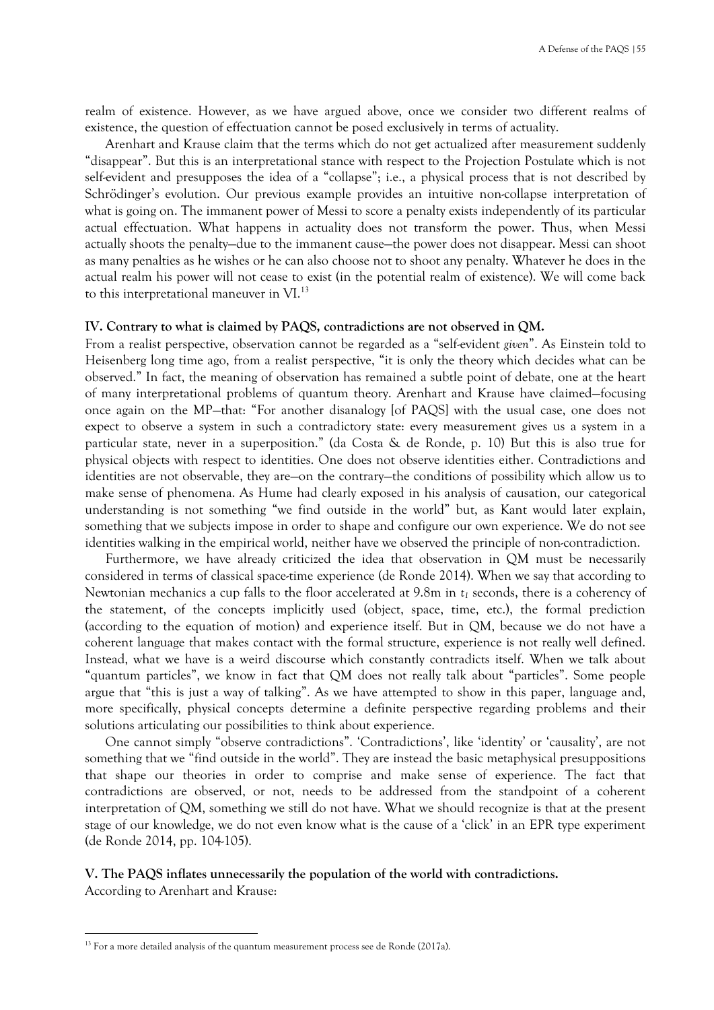realm of existence. However, as we have argued above, once we consider two different realms of existence, the question of effectuation cannot be posed exclusively in terms of actuality.

Arenhart and Krause claim that the terms which do not get actualized after measurement suddenly "disappear". But this is an interpretational stance with respect to the Projection Postulate which is not self-evident and presupposes the idea of a "collapse"; i.e., a physical process that is not described by Schrödinger's evolution. Our previous example provides an intuitive non-collapse interpretation of what is going on. The immanent power of Messi to score a penalty exists independently of its particular actual effectuation. What happens in actuality does not transform the power. Thus, when Messi actually shoots the penalty—due to the immanent cause—the power does not disappear. Messi can shoot as many penalties as he wishes or he can also choose not to shoot any penalty. Whatever he does in the actual realm his power will not cease to exist (in the potential realm of existence). We will come back to this interpretational maneuver in VI.<sup>13</sup>

#### **IV. Contrary to what is claimed by PAQS, contradictions are not observed in QM.**

From a realist perspective, observation cannot be regarded as a "self-evident *given*". As Einstein told to Heisenberg long time ago, from a realist perspective, "it is only the theory which decides what can be observed." In fact, the meaning of observation has remained a subtle point of debate, one at the heart of many interpretational problems of quantum theory. Arenhart and Krause have claimed—focusing once again on the MP—that: "For another disanalogy [of PAQS] with the usual case, one does not expect to observe a system in such a contradictory state: every measurement gives us a system in a particular state, never in a superposition." (da Costa & de Ronde, p. 10) But this is also true for physical objects with respect to identities. One does not observe identities either. Contradictions and identities are not observable, they are—on the contrary—the conditions of possibility which allow us to make sense of phenomena. As Hume had clearly exposed in his analysis of causation, our categorical understanding is not something "we find outside in the world" but, as Kant would later explain, something that we subjects impose in order to shape and configure our own experience. We do not see identities walking in the empirical world, neither have we observed the principle of non-contradiction.

Furthermore, we have already criticized the idea that observation in QM must be necessarily considered in terms of classical space-time experience (de Ronde 2014). When we say that according to Newtonian mechanics a cup falls to the floor accelerated at 9.8m in *t<sup>1</sup>* seconds, there is a coherency of the statement, of the concepts implicitly used (object, space, time, etc.), the formal prediction (according to the equation of motion) and experience itself. But in QM, because we do not have a coherent language that makes contact with the formal structure, experience is not really well defined. Instead, what we have is a weird discourse which constantly contradicts itself. When we talk about "quantum particles", we know in fact that QM does not really talk about "particles". Some people argue that "this is just a way of talking". As we have attempted to show in this paper, language and, more specifically, physical concepts determine a definite perspective regarding problems and their solutions articulating our possibilities to think about experience.

One cannot simply "observe contradictions". 'Contradictions', like 'identity' or 'causality', are not something that we "find outside in the world". They are instead the basic metaphysical presuppositions that shape our theories in order to comprise and make sense of experience. The fact that contradictions are observed, or not, needs to be addressed from the standpoint of a coherent interpretation of QM, something we still do not have. What we should recognize is that at the present stage of our knowledge, we do not even know what is the cause of a 'click' in an EPR type experiment (de Ronde 2014, pp. 104-105).

#### **V. The PAQS inflates unnecessarily the population of the world with contradictions.**

According to Arenhart and Krause:

<sup>&</sup>lt;sup>13</sup> For a more detailed analysis of the quantum measurement process see de Ronde (2017a).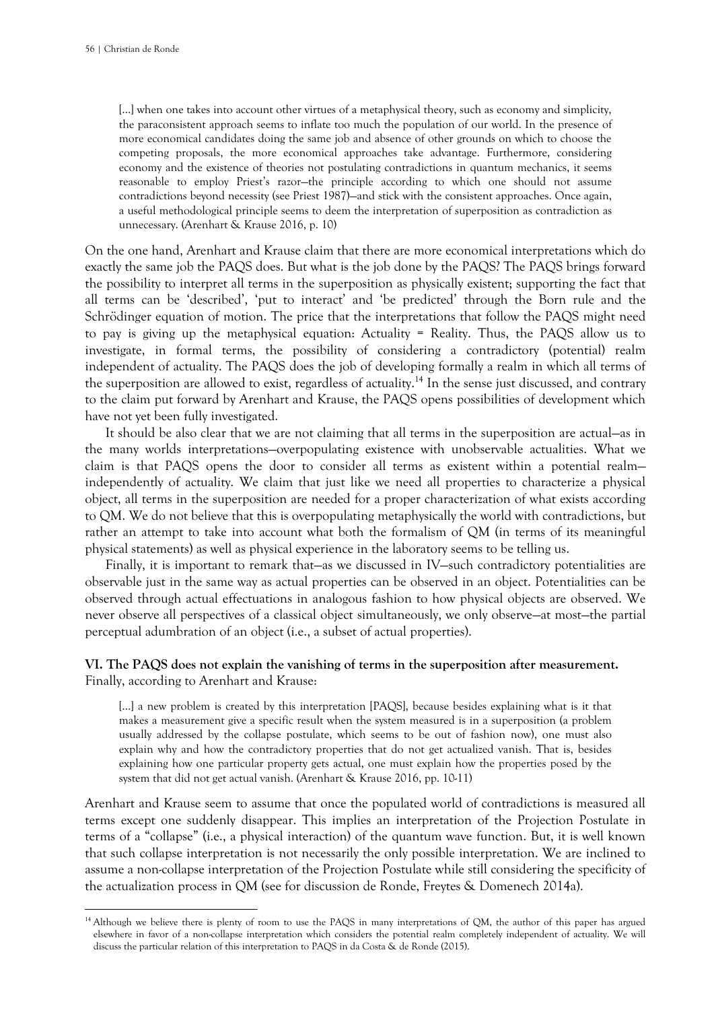[...] when one takes into account other virtues of a metaphysical theory, such as economy and simplicity, the paraconsistent approach seems to inflate too much the population of our world. In the presence of more economical candidates doing the same job and absence of other grounds on which to choose the competing proposals, the more economical approaches take advantage. Furthermore, considering economy and the existence of theories not postulating contradictions in quantum mechanics, it seems reasonable to employ Priest's razor—the principle according to which one should not assume contradictions beyond necessity (see Priest 1987)—and stick with the consistent approaches. Once again, a useful methodological principle seems to deem the interpretation of superposition as contradiction as unnecessary. (Arenhart & Krause 2016, p. 10)

On the one hand, Arenhart and Krause claim that there are more economical interpretations which do exactly the same job the PAQS does. But what is the job done by the PAQS? The PAQS brings forward the possibility to interpret all terms in the superposition as physically existent; supporting the fact that all terms can be 'described', 'put to interact' and 'be predicted' through the Born rule and the Schrödinger equation of motion. The price that the interpretations that follow the PAQS might need to pay is giving up the metaphysical equation: Actuality = Reality. Thus, the PAQS allow us to investigate, in formal terms, the possibility of considering a contradictory (potential) realm independent of actuality. The PAQS does the job of developing formally a realm in which all terms of the superposition are allowed to exist, regardless of actuality.<sup>14</sup> In the sense just discussed, and contrary to the claim put forward by Arenhart and Krause, the PAQS opens possibilities of development which have not yet been fully investigated.

It should be also clear that we are not claiming that all terms in the superposition are actual—as in the many worlds interpretations—overpopulating existence with unobservable actualities. What we claim is that PAQS opens the door to consider all terms as existent within a potential realm independently of actuality. We claim that just like we need all properties to characterize a physical object, all terms in the superposition are needed for a proper characterization of what exists according to QM. We do not believe that this is overpopulating metaphysically the world with contradictions, but rather an attempt to take into account what both the formalism of QM (in terms of its meaningful physical statements) as well as physical experience in the laboratory seems to be telling us.

Finally, it is important to remark that—as we discussed in IV—such contradictory potentialities are observable just in the same way as actual properties can be observed in an object. Potentialities can be observed through actual effectuations in analogous fashion to how physical objects are observed. We never observe all perspectives of a classical object simultaneously, we only observe—at most—the partial perceptual adumbration of an object (i.e., a subset of actual properties).

### **VI. The PAQS does not explain the vanishing of terms in the superposition after measurement.** Finally, according to Arenhart and Krause:

[...] a new problem is created by this interpretation [PAQS], because besides explaining what is it that makes a measurement give a specific result when the system measured is in a superposition (a problem usually addressed by the collapse postulate, which seems to be out of fashion now), one must also explain why and how the contradictory properties that do not get actualized vanish. That is, besides explaining how one particular property gets actual, one must explain how the properties posed by the system that did not get actual vanish. (Arenhart & Krause 2016, pp. 10-11)

Arenhart and Krause seem to assume that once the populated world of contradictions is measured all terms except one suddenly disappear. This implies an interpretation of the Projection Postulate in terms of a "collapse" (i.e., a physical interaction) of the quantum wave function. But, it is well known that such collapse interpretation is not necessarily the only possible interpretation. We are inclined to assume a non-collapse interpretation of the Projection Postulate while still considering the specificity of the actualization process in QM (see for discussion de Ronde, Freytes & Domenech 2014a).

<sup>&</sup>lt;sup>14</sup> Although we believe there is plenty of room to use the PAQS in many interpretations of QM, the author of this paper has argued elsewhere in favor of a non-collapse interpretation which considers the potential realm completely independent of actuality. We will discuss the particular relation of this interpretation to PAQS in da Costa & de Ronde (2015).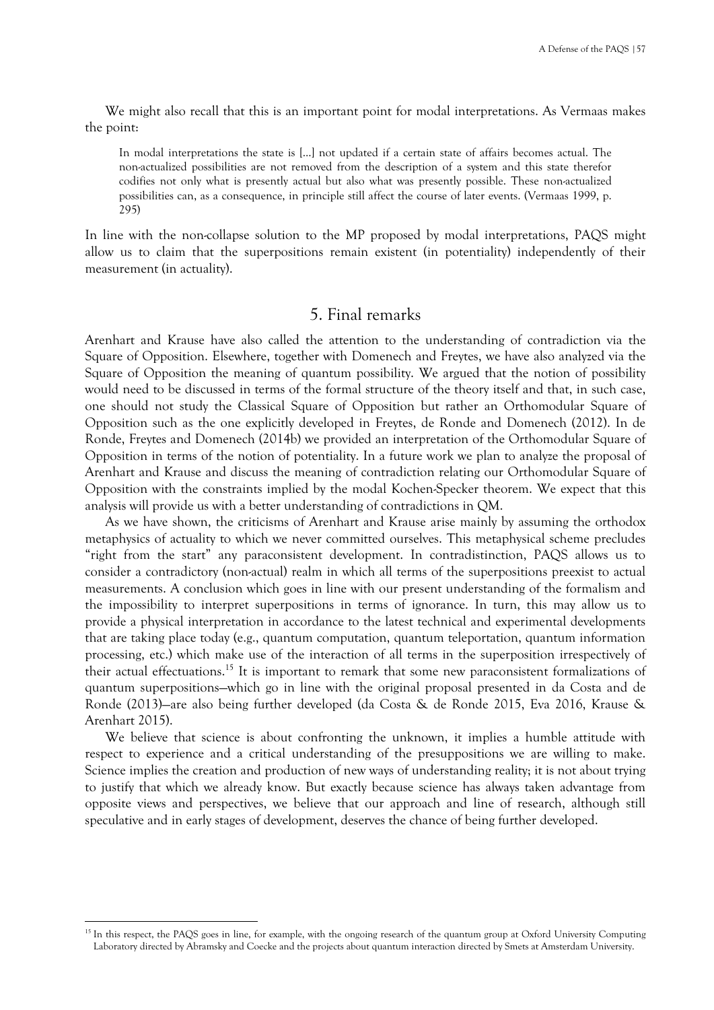We might also recall that this is an important point for modal interpretations. As Vermaas makes the point:

In modal interpretations the state is [...] not updated if a certain state of affairs becomes actual. The non-actualized possibilities are not removed from the description of a system and this state therefor codifies not only what is presently actual but also what was presently possible. These non-actualized possibilities can, as a consequence, in principle still affect the course of later events. (Vermaas 1999, p. 295)

In line with the non-collapse solution to the MP proposed by modal interpretations, PAQS might allow us to claim that the superpositions remain existent (in potentiality) independently of their measurement (in actuality).

## 5. Final remarks

Arenhart and Krause have also called the attention to the understanding of contradiction via the Square of Opposition. Elsewhere, together with Domenech and Freytes, we have also analyzed via the Square of Opposition the meaning of quantum possibility. We argued that the notion of possibility would need to be discussed in terms of the formal structure of the theory itself and that, in such case, one should not study the Classical Square of Opposition but rather an Orthomodular Square of Opposition such as the one explicitly developed in Freytes, de Ronde and Domenech (2012). In de Ronde, Freytes and Domenech (2014b) we provided an interpretation of the Orthomodular Square of Opposition in terms of the notion of potentiality. In a future work we plan to analyze the proposal of Arenhart and Krause and discuss the meaning of contradiction relating our Orthomodular Square of Opposition with the constraints implied by the modal Kochen-Specker theorem. We expect that this analysis will provide us with a better understanding of contradictions in QM.

As we have shown, the criticisms of Arenhart and Krause arise mainly by assuming the orthodox metaphysics of actuality to which we never committed ourselves. This metaphysical scheme precludes "right from the start" any paraconsistent development. In contradistinction, PAQS allows us to consider a contradictory (non-actual) realm in which all terms of the superpositions preexist to actual measurements. A conclusion which goes in line with our present understanding of the formalism and the impossibility to interpret superpositions in terms of ignorance. In turn, this may allow us to provide a physical interpretation in accordance to the latest technical and experimental developments that are taking place today (e.g., quantum computation, quantum teleportation, quantum information processing, etc.) which make use of the interaction of all terms in the superposition irrespectively of their actual effectuations.<sup>15</sup> It is important to remark that some new paraconsistent formalizations of quantum superpositions—which go in line with the original proposal presented in da Costa and de Ronde (2013)—are also being further developed (da Costa & de Ronde 2015, Eva 2016, Krause & Arenhart 2015).

We believe that science is about confronting the unknown, it implies a humble attitude with respect to experience and a critical understanding of the presuppositions we are willing to make. Science implies the creation and production of new ways of understanding reality; it is not about trying to justify that which we already know. But exactly because science has always taken advantage from opposite views and perspectives, we believe that our approach and line of research, although still speculative and in early stages of development, deserves the chance of being further developed.

<sup>&</sup>lt;sup>15</sup> In this respect, the PAQS goes in line, for example, with the ongoing research of the quantum group at Oxford University Computing Laboratory directed by Abramsky and Coecke and the projects about quantum interaction directed by Smets at Amsterdam University.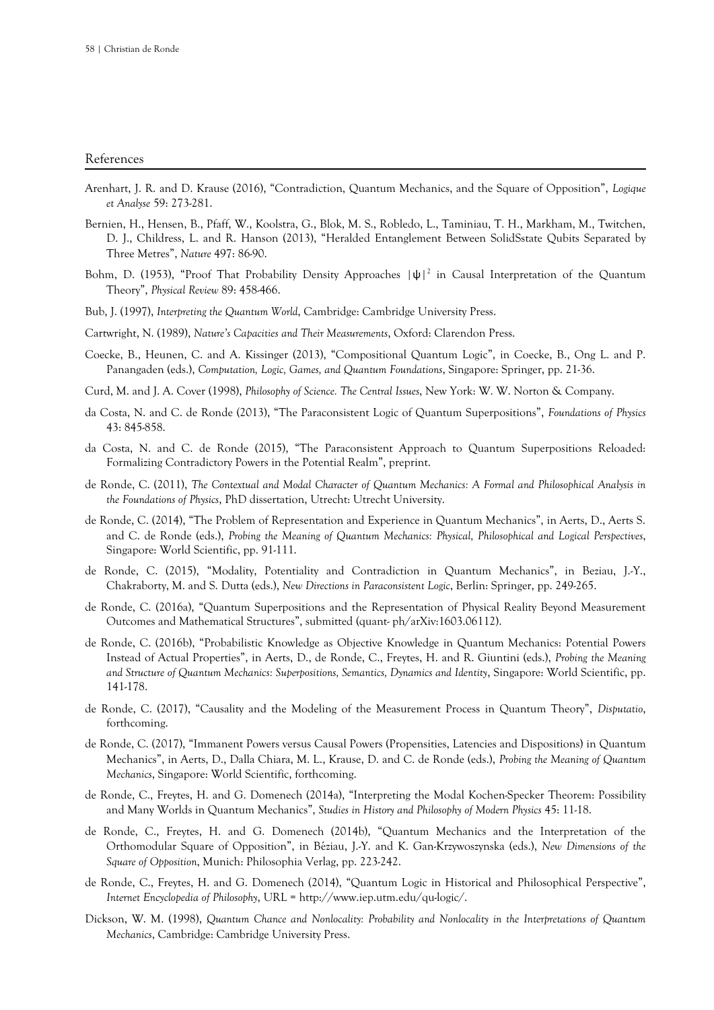#### References

- Arenhart, J. R. and D. Krause (2016), "Contradiction, Quantum Mechanics, and the Square of Opposition", *Logique et Analyse* 59: 273-281.
- Bernien, H., Hensen, B., Pfaff, W., Koolstra, G., Blok, M. S., Robledo, L., Taminiau, T. H., Markham, M., Twitchen, D. J., Childress, L. and R. Hanson (2013), "Heralded Entanglement Between SolidSstate Qubits Separated by Three Metres", *Nature* 497: 86-90.
- Bohm, D. (1953), "Proof That Probability Density Approaches  $|\psi|^2$  in Causal Interpretation of the Quantum Theory", *Physical Review* 89: 458-466.
- Bub, J. (1997), *Interpreting the Quantum World*, Cambridge: Cambridge University Press.
- Cartwright, N. (1989), *Nature's Capacities and Their Measurements*, Oxford: Clarendon Press.
- Coecke, B., Heunen, C. and A. Kissinger (2013), "Compositional Quantum Logic", in Coecke, B., Ong L. and P. Panangaden (eds.), *Computation, Logic, Games, and Quantum Foundations*, Singapore: Springer, pp. 21-36.
- Curd, M. and J. A. Cover (1998), *Philosophy of Science. The Central Issues*, New York: W. W. Norton & Company.
- da Costa, N. and C. de Ronde (2013), "The Paraconsistent Logic of Quantum Superpositions", *Foundations of Physics* 43: 845-858.
- da Costa, N. and C. de Ronde (2015), "The Paraconsistent Approach to Quantum Superpositions Reloaded: Formalizing Contradictory Powers in the Potential Realm", preprint.
- de Ronde, C. (2011), *The Contextual and Modal Character of Quantum Mechanics: A Formal and Philosophical Analysis in the Foundations of Physics*, PhD dissertation, Utrecht: Utrecht University.
- de Ronde, C. (2014), "The Problem of Representation and Experience in Quantum Mechanics", in Aerts, D., Aerts S. and C. de Ronde (eds.), *Probing the Meaning of Quantum Mechanics: Physical, Philosophical and Logical Perspectives*, Singapore: World Scientific, pp. 91-111.
- de Ronde, C. (2015), "Modality, Potentiality and Contradiction in Quantum Mechanics", in Beziau, J.-Y., Chakraborty, M. and S. Dutta (eds.), *New Directions in Paraconsistent Logic*, Berlin: Springer, pp. 249-265.
- de Ronde, C. (2016a), "Quantum Superpositions and the Representation of Physical Reality Beyond Measurement Outcomes and Mathematical Structures", submitted (quant- ph/arXiv:1603.06112).
- de Ronde, C. (2016b), "Probabilistic Knowledge as Objective Knowledge in Quantum Mechanics: Potential Powers Instead of Actual Properties", in Aerts, D., de Ronde, C., Freytes, H. and R. Giuntini (eds.), *Probing the Meaning and Structure of Quantum Mechanics: Superpositions, Semantics, Dynamics and Identity*, Singapore: World Scientific, pp. 141-178.
- de Ronde, C. (2017), "Causality and the Modeling of the Measurement Process in Quantum Theory", *Disputatio*, forthcoming.
- de Ronde, C. (2017), "Immanent Powers versus Causal Powers (Propensities, Latencies and Dispositions) in Quantum Mechanics", in Aerts, D., Dalla Chiara, M. L., Krause, D. and C. de Ronde (eds.), *Probing the Meaning of Quantum Mechanics*, Singapore: World Scientific, forthcoming.
- de Ronde, C., Freytes, H. and G. Domenech (2014a), "Interpreting the Modal Kochen-Specker Theorem: Possibility and Many Worlds in Quantum Mechanics", *Studies in History and Philosophy of Modern Physics* 45: 11-18.
- de Ronde, C., Freytes, H. and G. Domenech (2014b), "Quantum Mechanics and the Interpretation of the Orthomodular Square of Opposition", in Béziau, J.-Y. and K. Gan-Krzywoszynska (eds.), *New Dimensions of the Square of Opposition*, Munich: Philosophia Verlag, pp. 223-242.
- de Ronde, C., Freytes, H. and G. Domenech (2014), "Quantum Logic in Historical and Philosophical Perspective", *Internet Encyclopedia of Philosophy*, URL = http://www.iep.utm.edu/qu-logic/.
- Dickson, W. M. (1998), *Quantum Chance and Nonlocality: Probability and Nonlocality in the Interpretations of Quantum Mechanics*, Cambridge: Cambridge University Press.